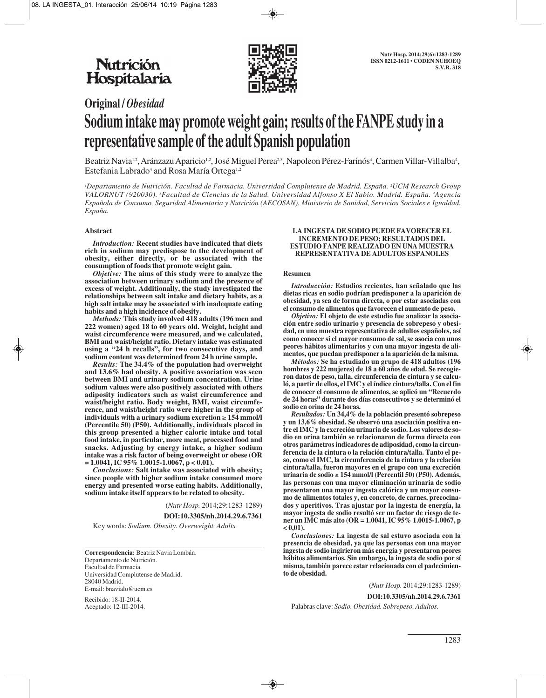

# **Original /** *Obesidad* **Sodium intake may promote weight gain; results of the FANPE study in a representative sample of the adult Spanish population**

Beatriz Navia1.2, Aránzazu Aparicio1.2, José Miguel Perea<sup>2,3</sup>, Napoleon Pérez-Farinós<sup>4</sup>, Carmen Villar-Villalba<sup>4</sup>, Estefania Labrado<sup>4</sup> and Rosa María Ortega<sup>1,2</sup>

*1 Departamento de Nutrición. Facultad de Farmacia. Universidad Complutense de Madrid. España. 2 UCM Research Group VALORNUT (920030). 3 Facultad de Ciencias de la Salud. Universidad Alfonso X El Sabio. Madrid. España. 4 Agencia Española de Consumo, Seguridad Alimentaria y Nutrición (AECOSAN). Ministerio de Sanidad, Servicios Sociales e Igualdad. España.* 

#### **Abstract**

*Introduction:* **Recent studies have indicated that diets rich in sodium may predispose to the development of obesity, either directly, or be associated with the consumption of foods that promote weight gain.**

*Objetive:* **The aims of this study were to analyze the association between urinary sodium and the presence of excess of weight. Additionally, the study investigated the relationships between salt intake and dietary habits, as a high salt intake may be associated with inadequate eating habits and a high incidence of obesity.** 

*Methods:* **This study involved 418 adults (196 men and 222 women) aged 18 to 60 years old. Weight, height and waist circumference were measured, and we calculated, BMI and waist/height ratio. Dietary intake was estimated using a "24 h recalls", for two consecutive days, and sodium content was determined from 24 h urine sample.**

*Results:* **The 34.4% of the population had overweight and 13.6% had obesity. A positive association was seen between BMI and urinary sodium concentration. Urine sodium values were also positively associated with others adiposity indicators such as waist circumference and waist/height ratio. Body weight, BMI, waist circumference, and waist/height ratio were higher in the group of individuals with a urinary sodium excretion** ≥ **154 mmol/l (Percentile 50) (P50). Additionally, individuals placed in this group presented a higher caloric intake and total food intake, in particular, more meat, processed food and snacks. Adjusting by energy intake, a higher sodium intake was a risk factor of being overweight or obese (OR = 1.0041, IC 95% 1.0015-1.0067, p < 0.01).**

*Conclusions:* **Salt intake was associated with obesity; since people with higher sodium intake consumed more energy and presented worse eating habits. Additionally, sodium intake itself appears to be related to obesity.**

(*Nutr Hosp.* 2014;29:1283-1289)

**DOI:10.3305/nh.2014.29.6.7361**

Key words: *Sodium. Obesity. Overweight. Adults.*

**Correspondencia:** Beatriz Navia Lombán. Departamento de Nutrición. Facultad de Farmacia. Universidad Complutense de Madrid. 28040 Madrid. E-mail: bnavialo@ucm.es

Recibido: 18-II-2014. Aceptado: 12-III-2014.

#### **LA INGESTA DE SODIO PUEDE FAVORECER EL INCREMENTO DE PESO; RESULTADOS DEL ESTUDIO FANPE REALIZADO EN UNA MUESTRA REPRESENTATIVA DE ADULTOS ESPANOLES**

#### **Resumen**

*Introducción:* **Estudios recientes, han señalado que las dietas ricas en sodio podrían predisponer a la aparición de obesidad, ya sea de forma directa, o por estar asociadas con el consumo de alimentos que favorecen el aumento de peso.** 

*Objetivo:* **El objeto de este estudio fue analizar la asociación entre sodio urinario y presencia de sobrepeso y obesidad, en una muestra representativa de adultos españoles, así como conocer si el mayor consumo de sal, se asocia con unos peores hábitos alimentarios y con una mayor ingesta de alimentos, que puedan predisponer a la aparición de la misma.**

*Métodos:* **Se ha estudiado un grupo de 418 adultos (196 hombres y 222 mujeres) de 18 a 60 años de edad. Se recogieron datos de peso, talla, circunferencia de cintura y se calculó, a partir de ellos, el IMC y el índice cintura/talla. Con el fin de conocer el consumo de alimentos, se aplicó un "Recuerdo de 24 horas" durante dos días consecutivos y se determinó el sodio en orina de 24 horas.** 

*Resultados:* **Un 34,4% de la población presentó sobrepeso y un 13,6% obesidad. Se observó una asociación positiva entre el IMC y la excreción urinaria de sodio. Los valores de sodio en orina también se relacionaron de forma directa con otros parámetros indicadores de adiposidad, como la circunferencia de la cintura o la relación cintura/talla. Tanto el peso, como el IMC, la circunferencia de la cintura y la relación cintura/talla, fueron mayores en el grupo con una excreción urinaria de sodio** ≥ **154 mmol/l (Percentil 50) (P50). Además, las personas con una mayor eliminación urinaria de sodio presentaron una mayor ingesta calórica y un mayor consumo de alimentos totales y, en concreto, de carnes, precocinados y aperitivos. Tras ajustar por la ingesta de energía, la mayor ingesta de sodio resultó ser un factor de riesgo de tener un IMC más alto (OR = 1.0041, IC 95% 1.0015-1.0067, p**  $< 0.01$ ).

*Conclusiones:* **La ingesta de sal estuvo asociada con la presencia de obesidad, ya que las personas con una mayor ingesta de sodio ingirieron más energía y presentaron peores hábitos alimentarios. Sin embargo, la ingesta de sodio por sí misma, también parece estar relacionada con el padecimiento de obesidad.**

(*Nutr Hosp.* 2014;29:1283-1289)

**DOI:10.3305/nh.2014.29.6.7361**

Palabras clave: *Sodio. Obesidad. Sobrepeso. Adultos.*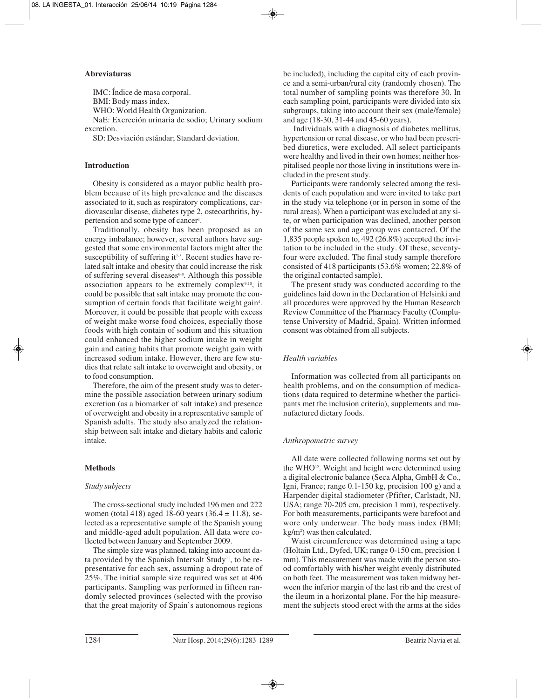## **Abreviaturas**

IMC: Índice de masa corporal. BMI: Body mass index. WHO: World Health Organization. NaE: Excreción urinaria de sodio; Urinary sodium excretion.

SD: Desviación estándar; Standard deviation.

## **Introduction**

Obesity is considered as a mayor public health problem because of its high prevalence and the diseases associated to it, such as respiratory complications, cardiovascular disease, diabetes type 2, osteoarthritis, hypertension and some type of cancer<sup>1</sup>.

Traditionally, obesity has been proposed as an energy imbalance; however, several authors have suggested that some environmental factors might alter the susceptibility of suffering it<sup>2-5</sup>. Recent studies have related salt intake and obesity that could increase the risk of suffering several diseases<sup>6-8</sup>. Although this possible association appears to be extremely complex $9,10$ , it could be possible that salt intake may promote the consumption of certain foods that facilitate weight gain<sup>4</sup>. Moreover, it could be possible that people with excess of weight make worse food choices, especially those foods with high contain of sodium and this situation could enhanced the higher sodium intake in weight gain and eating habits that promote weight gain with increased sodium intake. However, there are few studies that relate salt intake to overweight and obesity, or to food consumption.

Therefore, the aim of the present study was to determine the possible association between urinary sodium excretion (as a biomarker of salt intake) and presence of overweight and obesity in a representative sample of Spanish adults. The study also analyzed the relation ship between salt intake and dietary habits and caloric intake.

## **Methods**

#### *Study subjects*

The cross-sectional study included 196 men and 222 women (total 418) aged 18-60 years  $(36.4 \pm 11.8)$ , selected as a representative sample of the Spanish young and middle-aged adult population. All data were collected between January and September 2009.

The simple size was planned, taking into account data provided by the Spanish Intersalt Study<sup>11</sup>, to be representative for each sex, assuming a dropout rate of 25%. The initial sample size required was set at 406 participants. Sampling was performed in fifteen randomly selected provinces (selected with the proviso that the great majority of Spain's autonomous regions be included), including the capital city of each province and a semi-urban/rural city (randomly chosen). The total number of sampling points was therefore 30. In each sampling point, participants were divided into six subgroups, taking into account their sex (male/female) and age (18-30, 31-44 and 45-60 years).

Individuals with a diagnosis of diabetes mellitus, hypertension or renal disease, or who had been prescribed diuretics, were excluded. All select participants were healthy and lived in their own homes; neither hospitalised people nor those living in institutions were included in the present study.

Participants were randomly selected among the residents of each population and were invited to take part in the study via telephone (or in person in some of the rural areas). When a participant was excluded at any site, or when participation was declined, another person of the same sex and age group was contacted. Of the 1,835 people spoken to, 492 (26.8%) accepted the invitation to be included in the study. Of these, seventyfour were excluded. The final study sample therefore consisted of 418 participants (53.6% women; 22.8% of the original contacted sample).

The present study was conducted according to the guidelines laid down in the Declaration of Helsinki and all procedures were approved by the Human Research Review Committee of the Pharmacy Faculty (Complutense University of Madrid, Spain). Written informed consent was obtained from all subjects.

## *Health variables*

Information was collected from all participants on health problems, and on the consumption of medications (data required to determine whether the participants met the inclusion criteria), supplements and manufactured dietary foods.

#### *Anthropometric survey*

All date were collected following norms set out by the WHO<sup>12</sup>. Weight and height were determined using a digital electronic balance (Seca Alpha, GmbH & Co., Igni, France; range 0.1-150 kg, precision 100 g) and a Harpender digital stadiometer (Pfifter, Carlstadt, NJ, USA; range 70-205 cm, precision 1 mm), respectively. For both measurements, participants were barefoot and wore only underwear. The body mass index (BMI; kg/m2 ) was then calculated.

Waist circumference was determined using a tape (Holtain Ltd., Dyfed, UK; range 0-150 cm, precision 1 mm). This measurement was made with the person stood comfortably with his/her weight evenly distributed on both feet. The measurement was taken midway between the inferior margin of the last rib and the crest of the ileum in a horizontal plane. For the hip measurement the subjects stood erect with the arms at the sides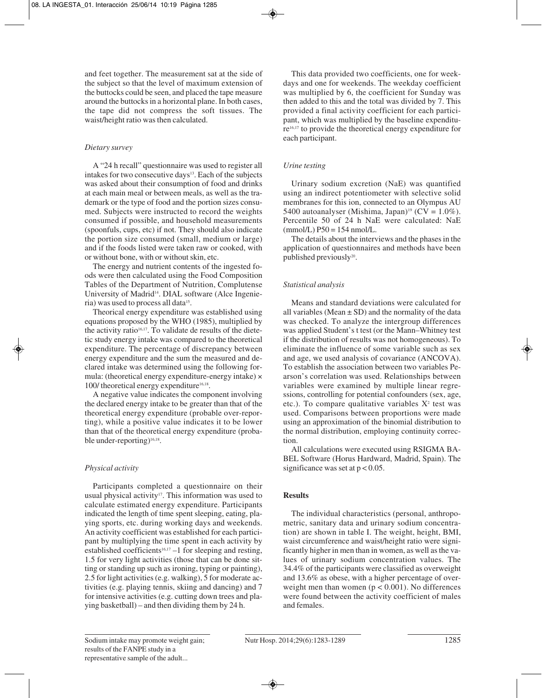and feet together. The measurement sat at the side of the subject so that the level of maximum extension of the buttocks could be seen, and placed the tape measure around the buttocks in a horizontal plane. In both cases, the tape did not compress the soft tissues. The waist/height ratio was then calculated.

## *Dietary survey*

A "24 h recall" questionnaire was used to register all intakes for two consecutive days<sup>13</sup>. Each of the subjects was asked about their consumption of food and drinks at each main meal or between meals, as well as the trademark or the type of food and the portion sizes consumed. Subjects were instructed to record the weights consumed if possible, and household measurements (spoonfuls, cups, etc) if not. They should also indicate the portion size consumed (small, medium or large) and if the foods listed were taken raw or cooked, with or without bone, with or without skin, etc.

The energy and nutrient contents of the ingested foods were then calculated using the Food Composition Tables of the Department of Nutrition, Complutense University of Madrid14. DIAL software (Alce Ingenieria) was used to process all data<sup>15</sup>.

Theorical energy expenditure was established using equations proposed by the WHO (1985), multiplied by the activity ratio<sup>16,17</sup>. To validate de results of the dietetic study energy intake was compared to the theoretical expenditure. The percentage of discrepancy between energy expenditure and the sum the measured and declared intake was determined using the following formula: (theoretical energy expenditure-energy intake) × 100/ theoretical energy expenditure<sup>16,18</sup>.

A negative value indicates the component involving the declared energy intake to be greater than that of the theoretical energy expenditure (probable over-reporting), while a positive value indicates it to be lower than that of the theoretical energy expenditure (probable under-reporting)<sup>16,18</sup>.

## *Physical activity*

Participants completed a questionnaire on their usual physical activity<sup>17</sup>. This information was used to calculate estimated energy expenditure. Participants indicated the length of time spent sleeping, eating, playing sports, etc. during working days and weekends. An activity coefficient was established for each participant by multiplying the time spent in each activity by established coefficients<sup>16,17</sup> –1 for sleeping and resting, 1.5 for very light activities (those that can be done sitting or standing up such as ironing, typing or painting), 2.5 for light activities (e.g. walking), 5 for moderate activities (e.g. playing tennis, skiing and dancing) and 7 for intensive activities (e.g. cutting down trees and playing basketball) – and then dividing them by 24 h.

This data provided two coefficients, one for weekdays and one for weekends. The weekday coefficient was multiplied by 6, the coefficient for Sunday was then added to this and the total was divided by 7. This provided a final activity coefficient for each participant, which was multiplied by the baseline expenditure16,17 to provide the theoretical energy expenditure for each participant.

## *Urine testing*

Urinary sodium excretion (NaE) was quantified using an indirect potentiometer with selective solid membranes for this ion, connected to an Olympus AU 5400 autoanalyser (Mishima, Japan)<sup>19</sup> (CV =  $1.0\%$ ). Percentile 50 of 24 h NaE were calculated: NaE  $(mmol/L)$  P50 = 154 nmol/L.

The details about the interviews and the phases in the application of questionnaires and methods have been published previously<sup>20</sup>.

# *Statistical analysis*

Means and standard deviations were calculated for all variables (Mean  $\pm$  SD) and the normality of the data was checked. To analyze the intergroup differences was applied Student's t test (or the Mann–Whitney test if the distribution of results was not homogeneous). To eliminate the influence of some variable such as sex and age, we used analysis of covariance (ANCOVA). To establish the association between two variables Pearson's correlation was used. Relationships between variables were examined by multiple linear regressions, controlling for potential confounders (sex, age, etc.). To compare qualitative variables  $X^2$  test was used. Comparisons between proportions were made using an approximation of the binomial distribution to the normal distribution, employing continuity correction.

All calculations were executed using RSIGMA BA-BEL Software (Horus Hardward, Madrid, Spain). The significance was set at  $p < 0.05$ .

## **Results**

The individual characteristics (personal, anthropometric, sanitary data and urinary sodium concentration) are shown in table I. The weight, height, BMI, waist circumference and waist/height ratio were significantly higher in men than in women, as well as the values of urinary sodium concentration values. The 34.4% of the participants were classified as overweight and 13.6% as obese, with a higher percentage of overweight men than women  $(p < 0.001)$ . No differences were found between the activity coefficient of males and females.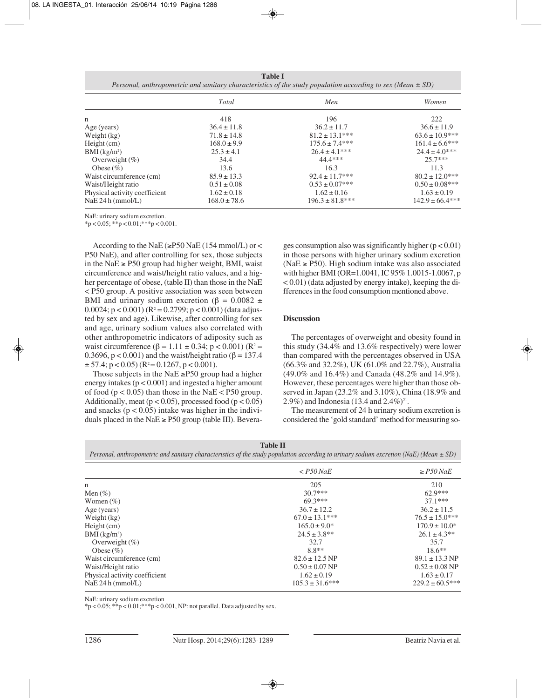**Table I** *Personal, anthropometric and sanitary characteristics of the study population according to sex (Mean ± SD)*

|                               | Total            | Men                  | Women               |
|-------------------------------|------------------|----------------------|---------------------|
| n                             | 418              | 196                  | 222                 |
| Age (years)                   | $36.4 \pm 11.8$  | $36.2 \pm 11.7$      | $36.6 \pm 11.9$     |
| Weight $(kg)$                 | $71.8 \pm 14.8$  | $81.2 \pm 13.1***$   | $63.6 \pm 10.9$ *** |
| $Height$ (cm)                 | $168.0 \pm 9.9$  | $175.6 \pm 7.4***$   | $161.4 \pm 6.6$ *** |
| $BMI$ (kg/m <sup>2</sup> )    | $25.3 \pm 4.1$   | $26.4 \pm 4.1***$    | $24.4 \pm 4.0***$   |
| Overweight $(\%)$             | 34.4             | 44.4***              | $257***$            |
| Obese $(\% )$                 | 13.6             | 16.3                 | 11.3                |
| Waist circumference (cm)      | $85.9 \pm 13.3$  | $92.4 \pm 11.7***$   | $80.2 \pm 12.0$ *** |
| Waist/Height ratio            | $0.51 \pm 0.08$  | $0.53 \pm 0.07$ ***  | $0.50 \pm 0.08$ *** |
| Physical activity coefficient | $1.62 \pm 0.18$  | $1.62 \pm 0.16$      | $1.63 \pm 0.19$     |
| NaE 24 h (mmol/L)             | $168.0 \pm 78.6$ | $196.3 \pm 81.8$ *** | $142.9 \pm 66.4***$ |

NaE: urinary sodium excretion.

 $*p < 0.05; **p < 0.01; **p < 0.001.$ 

According to the NaE ( $\ge$ P50 NaE (154 mmol/L) or < P50 NaE), and after controlling for sex, those subjects in the NaE ≥ P50 group had higher weight, BMI, waist circumference and waist/height ratio values, and a higher percentage of obese, (table II) than those in the NaE < P50 group. A positive association was seen between BMI and urinary sodium excretion ( $\beta = 0.0082 \pm$ 0.0024;  $p < 0.001$ ) ( $R^2 = 0.2799$ ;  $p < 0.001$ ) (data adjusted by sex and age). Likewise, after controlling for sex and age, urinary sodium values also correlated with other anthropometric indicators of adiposity such as waist circumference (β = 1.11 ± 0.34; p < 0.001) (R<sup>2</sup> = 0.3696,  $p < 0.001$ ) and the waist/height ratio ( $\beta = 137.4$ )  $\pm$  57.4; p < 0.05) (R<sup>2</sup> = 0.1267, p < 0.001).

Those subjects in the NaE  $\geq$ P50 group had a higher energy intakes  $(p < 0.001)$  and ingested a higher amount of food ( $p < 0.05$ ) than those in the NaE < P50 group. Additionally, meat ( $p < 0.05$ ), processed food ( $p < 0.05$ ) and snacks ( $p < 0.05$ ) intake was higher in the individuals placed in the NaE  $\ge$  P50 group (table III). Beverages consumption also was significantly higher  $(p < 0.01)$ in those persons with higher urinary sodium excretion (NaE  $\ge$  P50). High sodium intake was also associated with higher BMI (OR=1.0041, IC 95% 1.0015-1.0067, p  $(0.01)$  (data adjusted by energy intake), keeping the differences in the food consumption mentioned above.

#### **Discussion**

The percentages of overweight and obesity found in this study (34.4% and 13.6% respectively) were lower than compared with the percentages observed in USA (66.3% and 32.2%), UK (61.0% and 22.7%), Australia (49.0% and 16.4%) and Canada (48.2% and 14.9%). However, these percentages were higher than those observed in Japan (23.2% and 3.10%), China (18.9% and 2.9%) and Indonesia (13.4 and  $2.4\%$ )<sup>21</sup>.

The measurement of 24 h urinary sodium excretion is considered the 'gold standard' method for measuring so-

**Table II** *Personal, anthropometric and sanitary characteristics of the study population according to urinary sodium excretion (NaE) (Mean ± SD)*

|                               | $\langle P50\text{ Na}E\rangle$ | $\ge$ P50 NaE              |
|-------------------------------|---------------------------------|----------------------------|
| n                             | 205                             | 210                        |
| Men $(\%)$                    | $30.7***$                       | $62.9***$                  |
| Women $(\%)$                  | $69.3***$                       | $37.1***$                  |
| Age (years)                   | $36.7 \pm 12.2$                 | $36.2 \pm 11.5$            |
| Weight (kg)                   | $67.0 \pm 13.1***$              | $76.5 \pm 15.0***$         |
| Height (cm)                   | $165.0 \pm 9.0^*$               | $170.9 \pm 10.0^*$         |
| $BMI$ (kg/m <sup>2</sup> )    | $24.5 \pm 3.8**$                | $26.1 \pm 4.3**$           |
| Overweight $(\%)$             | 32.7                            | 35.7                       |
| Obese $(\% )$                 | $8.8**$                         | $18.6**$                   |
| Waist circumference (cm)      | $82.6 \pm 12.5 \,\text{NP}$     | $89.1 \pm 13.3 \text{ NP}$ |
| Waist/Height ratio            | $0.50 \pm 0.07$ NP              | $0.52 \pm 0.08$ NP         |
| Physical activity coefficient | $1.62 \pm 0.19$                 | $1.63 \pm 0.17$            |
| NaE 24 h (mmol/L)             | $105.3 \pm 31.6$ ***            | $229.2 \pm 60.5***$        |

NaE: urinary sodium excretion

 $*p < 0.05;$   $**p < 0.01;$   $***p < 0.001$ , NP: not parallel. Data adjusted by sex.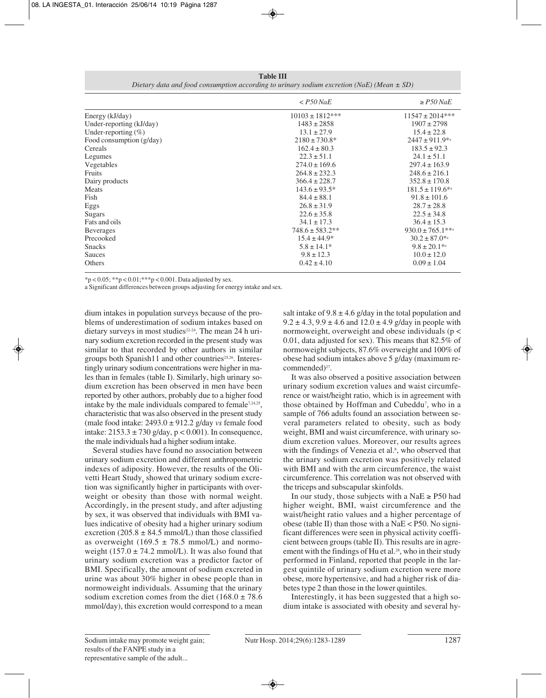**Table III** *Dietary data and food consumption according to urinary sodium excretion (NaE) (Mean ± SD)*

|                            | $<$ P50 NaE          | $\geq$ P50 NaE        |
|----------------------------|----------------------|-----------------------|
| Energy (kJ/day)            | $10103 \pm 1812$ *** | $11547 \pm 2014$ ***  |
| Under-reporting (kJ/day)   | $1483 \pm 2858$      | $1907 \pm 2798$       |
| Under-reporting $(\%)$     | $13.1 \pm 27.9$      | $15.4 \pm 22.8$       |
| Food consumption $(g/day)$ | $2180 \pm 730.8^*$   | $2447 \pm 911.9^{*a}$ |
| Cereals                    | $162.4 \pm 80.3$     | $183.5 \pm 92.3$      |
| Legumes                    | $22.3 \pm 51.1$      | $24.1 \pm 51.1$       |
| Vegetables                 | $274.0 \pm 169.6$    | $297.4 \pm 163.9$     |
| Fruits                     | $264.8 \pm 232.3$    | $248.6 \pm 216.1$     |
| Dairy products             | $366.4 \pm 228.7$    | $352.8 \pm 170.8$     |
| Meats                      | $143.6 \pm 93.5^*$   | $181.5 \pm 119.6$ *a  |
| Fish                       | $84.4 \pm 88.1$      | $91.8 \pm 101.6$      |
| Eggs                       | $26.8 \pm 31.9$      | $28.7 \pm 28.8$       |
| Sugars                     | $22.6 \pm 35.8$      | $22.5 \pm 34.8$       |
| Fats and oils              | $34.1 \pm 17.3$      | $36.4 \pm 15.3$       |
| <b>Beverages</b>           | $748.6 \pm 583.2**$  | $930.0 \pm 765.1$ **a |
| Precooked                  | $15.4 \pm 44.9*$     | $30.2 \pm 87.0^{*a}$  |
| <b>Snacks</b>              | $5.8 \pm 14.1*$      | $9.8 \pm 20.1^{*a}$   |
| Sauces                     | $9.8 \pm 12.3$       | $10.0 \pm 12.0$       |
| Others                     | $0.42 \pm 4.10$      | $0.09 \pm 1.04$       |

 $*p < 0.05; **p < 0.01; **p < 0.001$ . Data adjusted by sex.

a Significant differences between groups adjusting for energy intake and sex.

dium intakes in population surveys because of the problems of underestimation of sodium intakes based on dietary surveys in most studies<sup>22-24</sup>. The mean 24 h urinary sodium excretion recorded in the present study was similar to that recorded by other authors in similar groups both Spanish11 and other countries<sup>25,26</sup>. Interestingly urinary sodium concentrations were higher in males than in females (table I). Similarly, high urinary sodium excretion has been observed in men have been reported by other authors, probably due to a higher food intake by the male individuals compared to female<sup>7,24,25</sup>, characteristic that was also observed in the present study (male food intake: 2493.0 ± 912.2 g/day *vs* female food intake:  $2153.3 \pm 730$  g/day,  $p < 0.001$ ). In consequence, the male individuals had a higher sodium intake.

Several studies have found no association between urinary sodium excretion and different anthropometric indexes of adiposity. However, the results of the Olivetti Heart Study, showed that urinary sodium excretion was significantly higher in participants with overweight or obesity than those with normal weight. Accordingly, in the present study, and after adjusting by sex, it was observed that individuals with BMI values indicative of obesity had a higher urinary sodium excretion  $(205.8 \pm 84.5 \text{ mmol/L})$  than those classified as overweight (169.5  $\pm$  78.5 mmol/L) and normoweight  $(157.0 \pm 74.2 \text{ mmol/L})$ . It was also found that urinary sodium excretion was a predictor factor of BMI. Specifically, the amount of sodium excreted in urine was about 30% higher in obese people than in normoweight individuals. Assuming that the urinary sodium excretion comes from the diet ( $168.0 \pm 78.6$ ) mmol/day), this excretion would correspond to a mean salt intake of  $9.8 \pm 4.6$  g/day in the total population and  $9.2 \pm 4.3$ ,  $9.9 \pm 4.6$  and  $12.0 \pm 4.9$  g/day in people with normoweight, overweight and obese individuals (p < 0.01, data adjusted for sex). This means that 82.5% of normoweight subjects, 87.6% overweight and 100% of obese had sodium intakes above 5 g/day (maximum recommended)<sup>27</sup>.

It was also observed a positive association between urinary sodium excretion values and waist circumference or waist/height ratio, which is in agreement with those obtained by Hoffman and Cubeddu<sup>7</sup>, who in a sample of 766 adults found an association between several parameters related to obesity, such as body weight, BMI and waist circumference, with urinary sodium excretion values. Moreover, our results agrees with the findings of Venezia et al.<sup>8</sup>, who observed that the urinary sodium excretion was positively related with BMI and with the arm circumference, the waist circumference. This correlation was not observed with the triceps and subscapular skinfolds.

In our study, those subjects with a NaE  $\ge$  P50 had higher weight, BMI, waist circumference and the waist/height ratio values and a higher percentage of obese (table II) than those with a NaE  $\lt$  P50. No significant differences were seen in physical activity coefficient between groups (table II). This results are in agreement with the findings of Hu et al.<sup>28</sup>, who in their study performed in Finland, reported that people in the largest quintile of urinary sodium excretion were more obese, more hypertensive, and had a higher risk of diabetes type 2 than those in the lower quintiles.

Interestingly, it has been suggested that a high sodium intake is associated with obesity and several hy-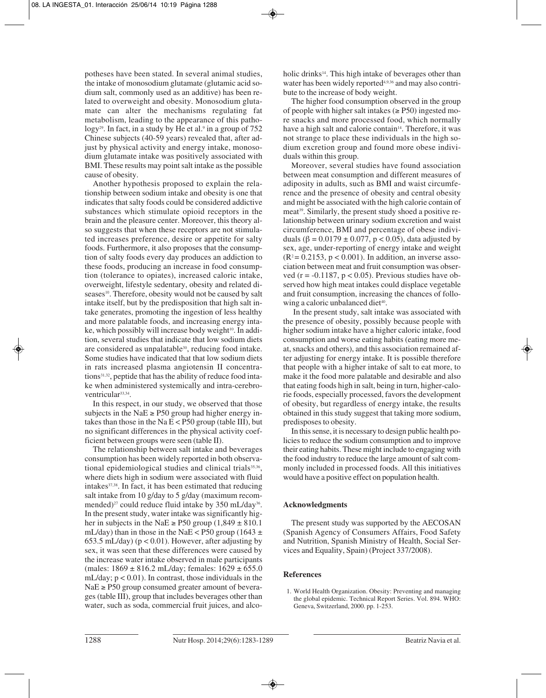potheses have been stated. In several animal studies, the intake of monosodium glutamate (glutamic acid sodium salt, commonly used as an additive) has been related to overweight and obesity. Monosodium glutamate can alter the mechanisms regulating fat metabolism, leading to the appearance of this patho- $\log y^{29}$ . In fact, in a study by He et al.<sup>9</sup> in a group of 752 Chinese subjects (40-59 years) revealed that, after adjust by physical activity and energy intake, monosodium glutamate intake was positively associated with BMI. These results may point salt intake as the possible cause of obesity.

Another hypothesis proposed to explain the relationship between sodium intake and obesity is one that indicates that salty foods could be considered addictive substances which stimulate opioid receptors in the brain and the pleasure center. Moreover, this theory also suggests that when these receptors are not stimulated increases preference, desire or appetite for salty foods. Furthermore, it also proposes that the consumption of salty foods every day produces an addiction to these foods, producing an increase in food consumption (tolerance to opiates), increased caloric intake, overweight, lifestyle sedentary, obesity and related diseases<sup>10</sup>. Therefore, obesity would not be caused by salt intake itself, but by the predisposition that high salt intake generates, promoting the ingestion of less healthy and more palatable foods, and increasing energy intake, which possibly will increase body weight<sup>10</sup>. In addition, several studies that indicate that low sodium diets are considered as unpalatable<sup>30</sup>, reducing food intake. Some studies have indicated that that low sodium diets in rats increased plasma angiotensin II concentrations<sup>31,32</sup>, peptide that has the ability of reduce food intake when administered systemically and intra-cerebroventricular<sup>33,34</sup>.

In this respect, in our study, we observed that those subjects in the NaE  $\ge$  P50 group had higher energy intakes than those in the Na  $E <$  P50 group (table III), but no significant differences in the physical activity coefficient between groups were seen (table II).

The relationship between salt intake and beverages consumption has been widely reported in both observational epidemiological studies and clinical trials<sup>35,36</sup>, where diets high in sodium were associated with fluid intakes37,38. In fact, it has been estimated that reducing salt intake from 10 g/day to 5 g/day (maximum recommended)<sup>27</sup> could reduce fluid intake by 350 mL/day<sup>36</sup>. In the present study, water intake was significantly higher in subjects in the NaE  $\ge$  P50 group (1,849  $\pm$  810.1 mL/day) than in those in the NaE < P50 group (1643  $\pm$ 653.5 mL/day) ( $p < 0.01$ ). However, after adjusting by sex, it was seen that these differences were caused by the increase water intake observed in male participants (males:  $1869 \pm 816.2$  mL/day; females:  $1629 \pm 655.0$ mL/day;  $p < 0.01$ ). In contrast, those individuals in the  $NaE \geq P50$  group consumed greater amount of beverages (table III), group that includes beverages other than water, such as soda, commercial fruit juices, and alcoholic drinks<sup>14</sup>. This high intake of beverages other than water has been widely reported<sup>4,9,36</sup> and may also contribute to the increase of body weight.

The higher food consumption observed in the group of people with higher salt intakes ( $\geq$  P50) ingested more snacks and more processed food, which normally have a high salt and calorie contain<sup>14</sup>. Therefore, it was not strange to place these individuals in the high sodium excretion group and found more obese individuals within this group.

Moreover, several studies have found association between meat consumption and different measures of adiposity in adults, such as BMI and waist circumference and the presence of obesity and central obesity and might be associated with the high calorie contain of meat<sup>39</sup>. Similarly, the present study shoed a positive relationship between urinary sodium excretion and waist circumference, BMI and percentage of obese individuals (β = 0.0179 ± 0.077, p < 0.05), data adjusted by sex, age, under-reporting of energy intake and weight  $(R^2 = 0.2153, p < 0.001)$ . In addition, an inverse association between meat and fruit consumption was observed ( $r = -0.1187$ ,  $p < 0.05$ ). Previous studies have observed how high meat intakes could displace vegetable and fruit consumption, increasing the chances of following a caloric unbalanced diet<sup>40</sup>.

In the present study, salt intake was associated with the presence of obesity, possibly because people with higher sodium intake have a higher caloric intake, food consumption and worse eating habits (eating more meat, snacks and others), and this association remained after adjusting for energy intake. It is possible therefore that people with a higher intake of salt to eat more, to make it the food more palatable and desirable and also that eating foods high in salt, being in turn, higher-calorie foods, especially processed, favors the development of obesity, but regardless of energy intake, the results obtained in this study suggest that taking more sodium, predisposes to obesity.

In this sense, it is necessary to design public health policies to reduce the sodium consumption and to improve their eating habits. These might include to engaging with the food industry to reduce the large amount of salt commonly included in processed foods. All this initiatives would have a positive effect on population health.

#### **Acknowledgments**

The present study was supported by the AECOSAN (Spanish Agency of Consumers Affairs, Food Safety and Nutrition, Spanish Ministry of Health, Social Services and Equality, Spain) (Project 337/2008).

#### **References**

1. World Health Organization. Obesity: Preventing and managing the global epidemic. Technical Report Series. Vol. 894. WHO: Geneva, Switzerland, 2000. pp. 1-253.